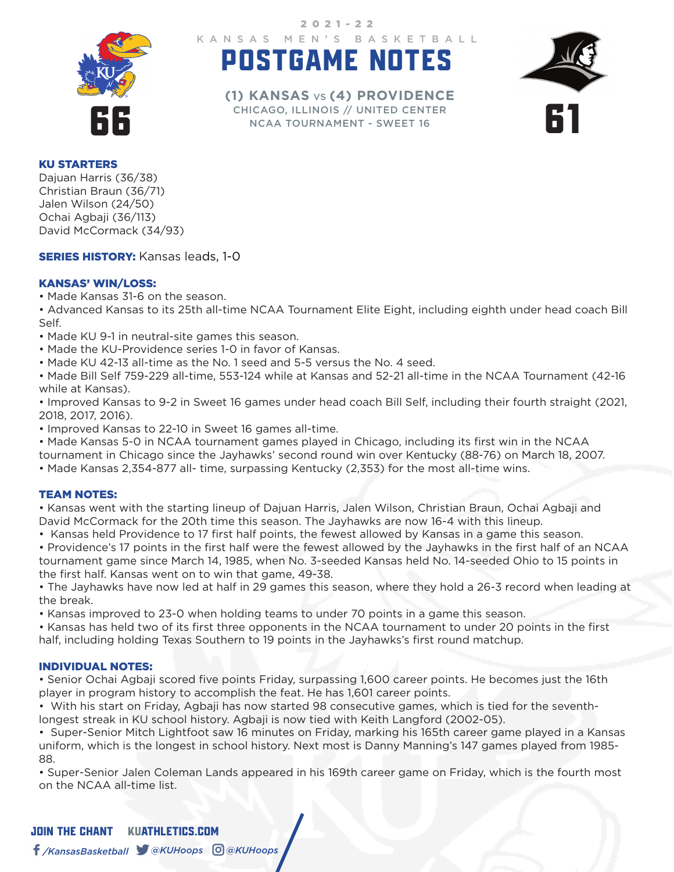

KANSAS MEN'S BASKETBALL 2021-22

# POSTGAME NOTES



CHICAGO, ILLINOIS // UNITED CENTERNESS CHICAGO, ILLINOIS // UNITED CENTERNESS **(1) KANSAS** VS **(4) PROVIDENCE** NCAA TOURNAMENT - SWEET 16

#### KU STARTERS

Dajuan Harris (36/38) Christian Braun (36/71) Jalen Wilson (24/50) Ochai Agbaji (36/113) David McCormack (34/93)

**SERIES HISTORY: Kansas leads, 1-0** 

## KANSAS' WIN/LOSS:

• Made Kansas 31-6 on the season.

• Advanced Kansas to its 25th all-time NCAA Tournament Elite Eight, including eighth under head coach Bill Self.

- Made KU 9-1 in neutral-site games this season.
- Made the KU-Providence series 1-0 in favor of Kansas.
- Made KU 42-13 all-time as the No. 1 seed and 5-5 versus the No. 4 seed.

• Made Bill Self 759-229 all-time, 553-124 while at Kansas and 52-21 all-time in the NCAA Tournament (42-16 while at Kansas).

• Improved Kansas to 9-2 in Sweet 16 games under head coach Bill Self, including their fourth straight (2021, 2018, 2017, 2016).

• Improved Kansas to 22-10 in Sweet 16 games all-time.

• Made Kansas 5-0 in NCAA tournament games played in Chicago, including its first win in the NCAA

tournament in Chicago since the Jayhawks' second round win over Kentucky (88-76) on March 18, 2007.

• Made Kansas 2,354-877 all- time, surpassing Kentucky (2,353) for the most all-time wins.

#### TEAM NOTES:

• Kansas went with the starting lineup of Dajuan Harris, Jalen Wilson, Christian Braun, Ochai Agbaji and David McCormack for the 20th time this season. The Jayhawks are now 16-4 with this lineup.

• Kansas held Providence to 17 first half points, the fewest allowed by Kansas in a game this season.

• Providence's 17 points in the first half were the fewest allowed by the Jayhawks in the first half of an NCAA tournament game since March 14, 1985, when No. 3-seeded Kansas held No. 14-seeded Ohio to 15 points in the first half. Kansas went on to win that game, 49-38.

• The Jayhawks have now led at half in 29 games this season, where they hold a 26-3 record when leading at the break.

• Kansas improved to 23-0 when holding teams to under 70 points in a game this season.

• Kansas has held two of its first three opponents in the NCAA tournament to under 20 points in the first half, including holding Texas Southern to 19 points in the Jayhawks's first round matchup.

## INDIVIDUAL NOTES:

• Senior Ochai Agbaji scored five points Friday, surpassing 1,600 career points. He becomes just the 16th player in program history to accomplish the feat. He has 1,601 career points.

• With his start on Friday, Agbaji has now started 98 consecutive games, which is tied for the seventhlongest streak in KU school history. Agbaji is now tied with Keith Langford (2002-05).

• Super-Senior Mitch Lightfoot saw 16 minutes on Friday, marking his 165th career game played in a Kansas uniform, which is the longest in school history. Next most is Danny Manning's 147 games played from 1985- 88.

• Super-Senior Jalen Coleman Lands appeared in his 169th career game on Friday, which is the fourth most on the NCAA all-time list.

# JOIN THE CHANTKUATHLETICS.COM */KansasBasketball @KUHoops @KUHoops*